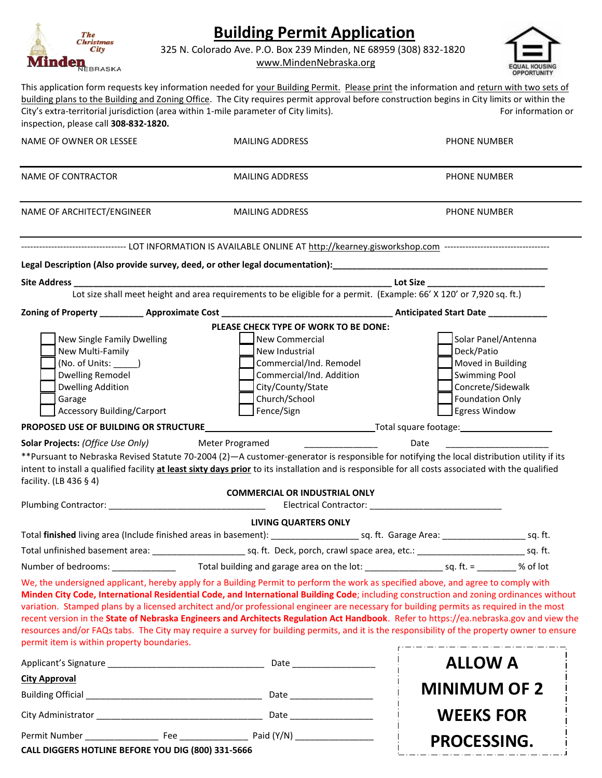| <b>Building Permit Application</b><br>The<br>Christmas<br>325 N. Colorado Ave. P.O. Box 239 Minden, NE 68959 (308) 832-1820<br>City<br><b>Minden</b><br>www.MindenNebraska.org                                           |                                                                                                                                    |                                                                                                                   |                                                                                                                                                                                                                                                                                                                                                                                                                                                                                                                                                                                |  |
|--------------------------------------------------------------------------------------------------------------------------------------------------------------------------------------------------------------------------|------------------------------------------------------------------------------------------------------------------------------------|-------------------------------------------------------------------------------------------------------------------|--------------------------------------------------------------------------------------------------------------------------------------------------------------------------------------------------------------------------------------------------------------------------------------------------------------------------------------------------------------------------------------------------------------------------------------------------------------------------------------------------------------------------------------------------------------------------------|--|
| inspection, please call 308-832-1820.                                                                                                                                                                                    | City's extra-territorial jurisdiction (area within 1-mile parameter of City limits).                                               |                                                                                                                   | This application form requests key information needed for your Building Permit. Please print the information and return with two sets of<br>building plans to the Building and Zoning Office. The City requires permit approval before construction begins in City limits or within the<br>For information or                                                                                                                                                                                                                                                                  |  |
| NAME OF OWNER OR LESSEE                                                                                                                                                                                                  | <b>MAILING ADDRESS</b>                                                                                                             |                                                                                                                   | PHONE NUMBER                                                                                                                                                                                                                                                                                                                                                                                                                                                                                                                                                                   |  |
| <b>NAME OF CONTRACTOR</b>                                                                                                                                                                                                | <b>MAILING ADDRESS</b>                                                                                                             |                                                                                                                   | PHONE NUMBER                                                                                                                                                                                                                                                                                                                                                                                                                                                                                                                                                                   |  |
| NAME OF ARCHITECT/ENGINEER                                                                                                                                                                                               | <b>MAILING ADDRESS</b>                                                                                                             |                                                                                                                   | PHONE NUMBER                                                                                                                                                                                                                                                                                                                                                                                                                                                                                                                                                                   |  |
| <b>Site Address</b>                                                                                                                                                                                                      | Lot size shall meet height and area requirements to be eligible for a permit. (Example: 66' X 120' or 7,920 sq. ft.)               |                                                                                                                   |                                                                                                                                                                                                                                                                                                                                                                                                                                                                                                                                                                                |  |
|                                                                                                                                                                                                                          |                                                                                                                                    |                                                                                                                   |                                                                                                                                                                                                                                                                                                                                                                                                                                                                                                                                                                                |  |
| New Single Family Dwelling<br>New Multi-Family<br>(No. of Units: _______)<br><b>Dwelling Remodel</b><br><b>Dwelling Addition</b><br>Garage<br><b>Accessory Building/Carport</b><br>PROPOSED USE OF BUILDING OR STRUCTURE | <b>New Commercial</b><br>New Industrial<br>Church/School<br>Fence/Sign                                                             | PLEASE CHECK TYPE OF WORK TO BE DONE:<br>Commercial/Ind. Remodel<br>Commercial/Ind. Addition<br>City/County/State | Solar Panel/Antenna<br>Deck/Patio<br>Moved in Building<br><b>Swimming Pool</b><br>Concrete/Sidewalk<br><b>Foundation Only</b><br>Egress Window                                                                                                                                                                                                                                                                                                                                                                                                                                 |  |
| <b>Solar Projects: (Office Use Only)</b>                                                                                                                                                                                 | Meter Programed                                                                                                                    |                                                                                                                   | Date                                                                                                                                                                                                                                                                                                                                                                                                                                                                                                                                                                           |  |
| facility. (LB 436 § 4)                                                                                                                                                                                                   |                                                                                                                                    | <b>COMMERCIAL OR INDUSTRIAL ONLY</b>                                                                              | **Pursuant to Nebraska Revised Statute 70-2004 (2)—A customer-generator is responsible for notifying the local distribution utility if its<br>intent to install a qualified facility at least sixty days prior to its installation and is responsible for all costs associated with the qualified                                                                                                                                                                                                                                                                              |  |
|                                                                                                                                                                                                                          |                                                                                                                                    |                                                                                                                   |                                                                                                                                                                                                                                                                                                                                                                                                                                                                                                                                                                                |  |
|                                                                                                                                                                                                                          |                                                                                                                                    | <b>LIVING QUARTERS ONLY</b>                                                                                       |                                                                                                                                                                                                                                                                                                                                                                                                                                                                                                                                                                                |  |
|                                                                                                                                                                                                                          |                                                                                                                                    |                                                                                                                   |                                                                                                                                                                                                                                                                                                                                                                                                                                                                                                                                                                                |  |
|                                                                                                                                                                                                                          |                                                                                                                                    |                                                                                                                   |                                                                                                                                                                                                                                                                                                                                                                                                                                                                                                                                                                                |  |
|                                                                                                                                                                                                                          | Number of bedrooms: ________________ Total building and garage area on the lot: ______________________________ % of lot            |                                                                                                                   |                                                                                                                                                                                                                                                                                                                                                                                                                                                                                                                                                                                |  |
| permit item is within property boundaries.                                                                                                                                                                               | We, the undersigned applicant, hereby apply for a Building Permit to perform the work as specified above, and agree to comply with |                                                                                                                   | Minden City Code, International Residential Code, and International Building Code; including construction and zoning ordinances without<br>variation. Stamped plans by a licensed architect and/or professional engineer are necessary for building permits as required in the most<br>recent version in the State of Nebraska Engineers and Architects Regulation Act Handbook. Refer to https://ea.nebraska.gov and view the<br>resources and/or FAQs tabs. The City may require a survey for building permits, and it is the responsibility of the property owner to ensure |  |
|                                                                                                                                                                                                                          |                                                                                                                                    |                                                                                                                   | <b>ALLOW A</b>                                                                                                                                                                                                                                                                                                                                                                                                                                                                                                                                                                 |  |
| <b>City Approval</b>                                                                                                                                                                                                     |                                                                                                                                    |                                                                                                                   |                                                                                                                                                                                                                                                                                                                                                                                                                                                                                                                                                                                |  |
|                                                                                                                                                                                                                          |                                                                                                                                    |                                                                                                                   | <b>MINIMUM OF 2</b>                                                                                                                                                                                                                                                                                                                                                                                                                                                                                                                                                            |  |
|                                                                                                                                                                                                                          |                                                                                                                                    |                                                                                                                   | <b>WEEKS FOR</b>                                                                                                                                                                                                                                                                                                                                                                                                                                                                                                                                                               |  |
|                                                                                                                                                                                                                          |                                                                                                                                    |                                                                                                                   | PROCESSING.                                                                                                                                                                                                                                                                                                                                                                                                                                                                                                                                                                    |  |
| CALL DIGGERS HOTLINE BEFORE YOU DIG (800) 331-5666                                                                                                                                                                       |                                                                                                                                    |                                                                                                                   |                                                                                                                                                                                                                                                                                                                                                                                                                                                                                                                                                                                |  |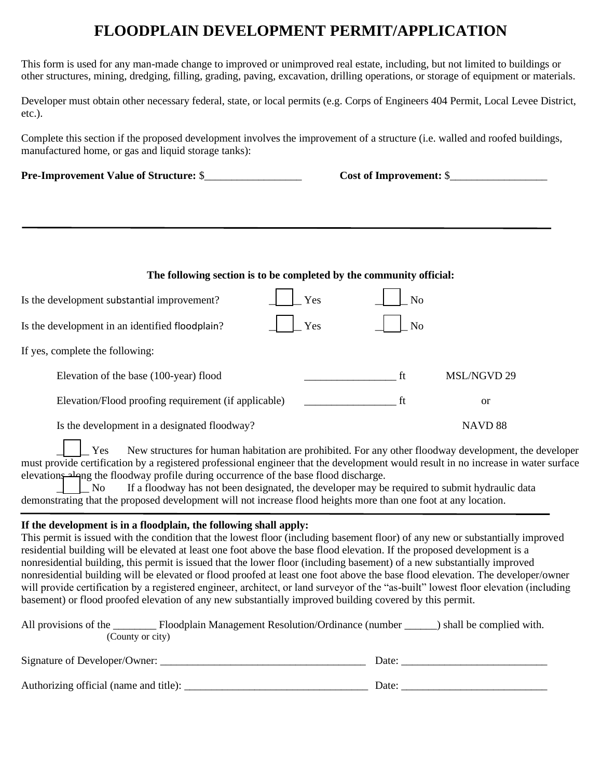## **FLOODPLAIN DEVELOPMENT PERMIT/APPLICATION**

This form is used for any man-made change to improved or unimproved real estate, including, but not limited to buildings or other structures, mining, dredging, filling, grading, paving, excavation, drilling operations, or storage of equipment or materials.

Developer must obtain other necessary federal, state, or local permits (e.g. Corps of Engineers 404 Permit, Local Levee District, etc.).

Complete this section if the proposed development involves the improvement of a structure (i.e. walled and roofed buildings, manufactured home, or gas and liquid storage tanks):

**Pre-Improvement Value of Structure:**  $\$\qquad\qquad$  Cost of Improvement:  $\$\qquad\qquad$ 

| The following section is to be completed by the community official: |     |                |               |  |  |
|---------------------------------------------------------------------|-----|----------------|---------------|--|--|
| Is the development substantial improvement?                         | Yes | N <sub>o</sub> |               |  |  |
| Is the development in an identified floodplain?                     | Yes | N <sub>o</sub> |               |  |  |
| If yes, complete the following:                                     |     |                |               |  |  |
| Elevation of the base (100-year) flood                              |     | ft             | MSL/NGVD 29   |  |  |
| Elevation/Flood proofing requirement (if applicable)                |     | ft             | <sub>or</sub> |  |  |
|                                                                     |     |                |               |  |  |

Is the development in a designated floodway? NAVD 88

New structures for human habitation are prohibited. For any other floodway development, the developer must provide certification by a registered professional engineer that the development would result in no increase in water surface elevations along the floodway profile during occurrence of the base flood discharge. Yes

If a floodway has not been designated, the developer may be required to submit hydraulic data demonstrating that the proposed development will not increase flood heights more than one foot at any location.  $\overline{N}$ 

## **If the development is in a floodplain, the following shall apply:**

This permit is issued with the condition that the lowest floor (including basement floor) of any new or substantially improved residential building will be elevated at least one foot above the base flood elevation. If the proposed development is a nonresidential building, this permit is issued that the lower floor (including basement) of a new substantially improved nonresidential building will be elevated or flood proofed at least one foot above the base flood elevation. The developer/owner will provide certification by a registered engineer, architect, or land surveyor of the "as-built" lowest floor elevation (including basement) or flood proofed elevation of any new substantially improved building covered by this permit.

| All provisions of the<br>Floodplain Management Resolution/Ordinance (number | ) shall be complied with. |
|-----------------------------------------------------------------------------|---------------------------|
| (County or city)                                                            |                           |
| Signature of Developer/Owner:                                               | Date:                     |
| Authorizing official (name and title):                                      | Date:                     |